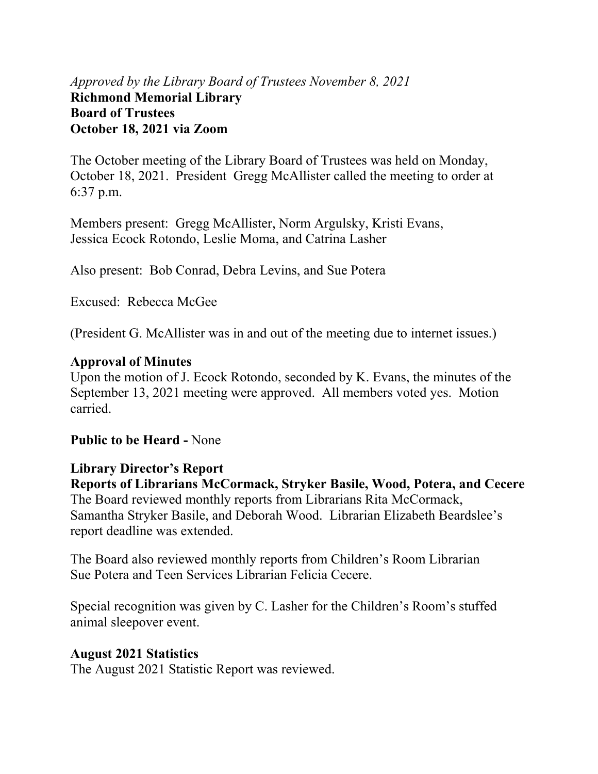### *Approved by the Library Board of Trustees November 8, 2021* **Richmond Memorial Library Board of Trustees October 18, 2021 via Zoom**

The October meeting of the Library Board of Trustees was held on Monday, October 18, 2021. President Gregg McAllister called the meeting to order at 6:37 p.m.

Members present: Gregg McAllister, Norm Argulsky, Kristi Evans, Jessica Ecock Rotondo, Leslie Moma, and Catrina Lasher

Also present: Bob Conrad, Debra Levins, and Sue Potera

Excused: Rebecca McGee

(President G. McAllister was in and out of the meeting due to internet issues.)

### **Approval of Minutes**

Upon the motion of J. Ecock Rotondo, seconded by K. Evans, the minutes of the September 13, 2021 meeting were approved. All members voted yes. Motion carried.

### **Public to be Heard -** None

#### **Library Director's Report**

**Reports of Librarians McCormack, Stryker Basile, Wood, Potera, and Cecere**  The Board reviewed monthly reports from Librarians Rita McCormack, Samantha Stryker Basile, and Deborah Wood. Librarian Elizabeth Beardslee's report deadline was extended.

The Board also reviewed monthly reports from Children's Room Librarian Sue Potera and Teen Services Librarian Felicia Cecere.

Special recognition was given by C. Lasher for the Children's Room's stuffed animal sleepover event.

#### **August 2021 Statistics**

The August 2021 Statistic Report was reviewed.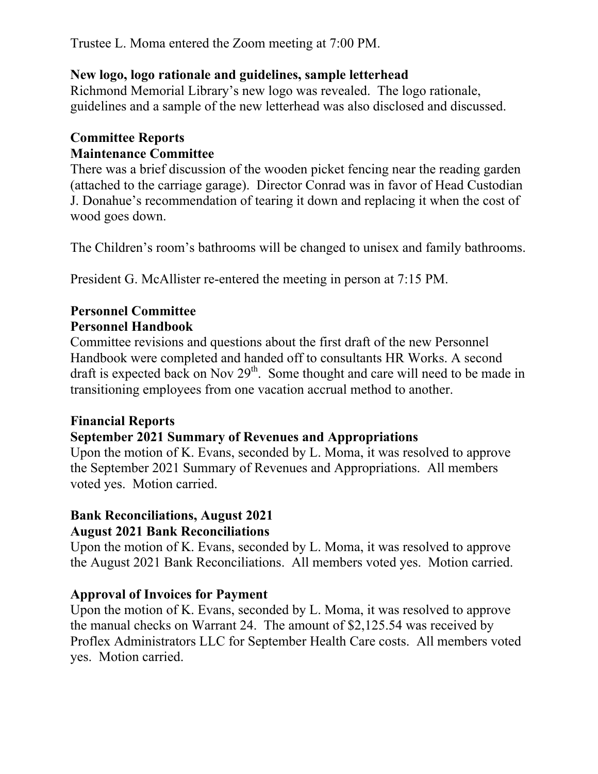Trustee L. Moma entered the Zoom meeting at 7:00 PM.

### **New logo, logo rationale and guidelines, sample letterhead**

Richmond Memorial Library's new logo was revealed. The logo rationale, guidelines and a sample of the new letterhead was also disclosed and discussed.

### **Committee Reports Maintenance Committee**

There was a brief discussion of the wooden picket fencing near the reading garden (attached to the carriage garage). Director Conrad was in favor of Head Custodian J. Donahue's recommendation of tearing it down and replacing it when the cost of wood goes down.

The Children's room's bathrooms will be changed to unisex and family bathrooms.

President G. McAllister re-entered the meeting in person at 7:15 PM.

### **Personnel Committee Personnel Handbook**

Committee revisions and questions about the first draft of the new Personnel Handbook were completed and handed off to consultants HR Works. A second draft is expected back on Nov  $29<sup>th</sup>$ . Some thought and care will need to be made in transitioning employees from one vacation accrual method to another.

## **Financial Reports**

## **September 2021 Summary of Revenues and Appropriations**

Upon the motion of K. Evans, seconded by L. Moma, it was resolved to approve the September 2021 Summary of Revenues and Appropriations. All members voted yes. Motion carried.

# **Bank Reconciliations, August 2021**

## **August 2021 Bank Reconciliations**

Upon the motion of K. Evans, seconded by L. Moma, it was resolved to approve the August 2021 Bank Reconciliations. All members voted yes. Motion carried.

## **Approval of Invoices for Payment**

Upon the motion of K. Evans, seconded by L. Moma, it was resolved to approve the manual checks on Warrant 24. The amount of \$2,125.54 was received by Proflex Administrators LLC for September Health Care costs. All members voted yes. Motion carried.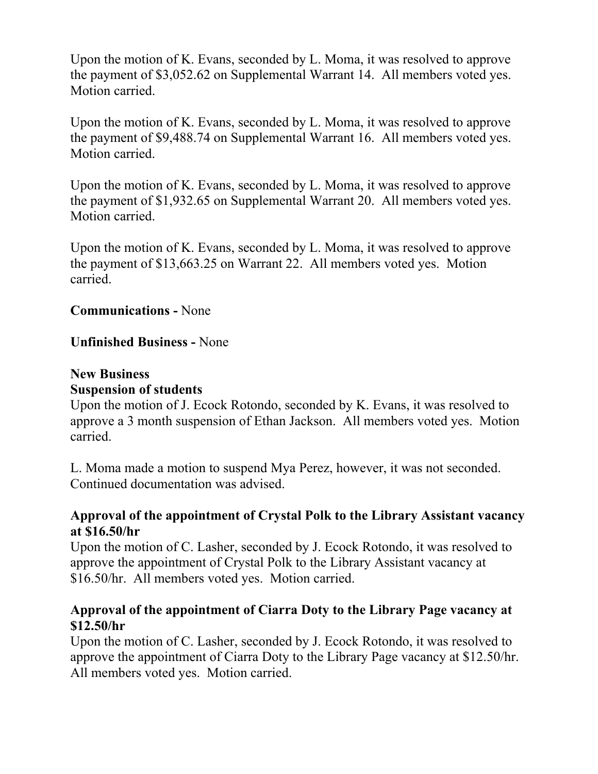Upon the motion of K. Evans, seconded by L. Moma, it was resolved to approve the payment of \$3,052.62 on Supplemental Warrant 14. All members voted yes. Motion carried.

Upon the motion of K. Evans, seconded by L. Moma, it was resolved to approve the payment of \$9,488.74 on Supplemental Warrant 16. All members voted yes. Motion carried.

Upon the motion of K. Evans, seconded by L. Moma, it was resolved to approve the payment of \$1,932.65 on Supplemental Warrant 20. All members voted yes. Motion carried.

Upon the motion of K. Evans, seconded by L. Moma, it was resolved to approve the payment of \$13,663.25 on Warrant 22. All members voted yes. Motion carried.

### **Communications -** None

### **Unfinished Business -** None

#### **New Business**

#### **Suspension of students**

Upon the motion of J. Ecock Rotondo, seconded by K. Evans, it was resolved to approve a 3 month suspension of Ethan Jackson. All members voted yes. Motion carried.

L. Moma made a motion to suspend Mya Perez, however, it was not seconded. Continued documentation was advised.

### **Approval of the appointment of Crystal Polk to the Library Assistant vacancy at \$16.50/hr**

Upon the motion of C. Lasher, seconded by J. Ecock Rotondo, it was resolved to approve the appointment of Crystal Polk to the Library Assistant vacancy at \$16.50/hr. All members voted yes. Motion carried.

### **Approval of the appointment of Ciarra Doty to the Library Page vacancy at \$12.50/hr**

Upon the motion of C. Lasher, seconded by J. Ecock Rotondo, it was resolved to approve the appointment of Ciarra Doty to the Library Page vacancy at \$12.50/hr. All members voted yes. Motion carried.